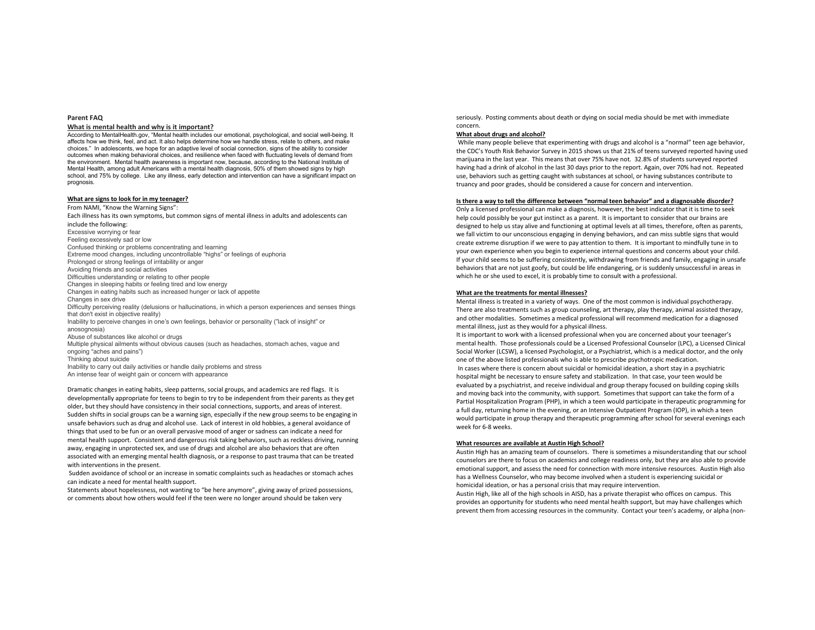## **Parent FAQ**

#### **What is mental health and why is it important?**

According to MentalHealth.gov, "Mental health includes our emotional, psychological, and social well-being. It affects how we think, feel, and act. It also helps determine how we handle stress, relate to others, and make choices." In adolescents, we hope for an adaptive level of social connection, signs of the ability to consider outcomes when making behavioral choices, and resilience when faced with fluctuating levels of demand from the environment. Mental health awareness is important now, because, according to the National Institute of Mental Health, among adult Americans with a mental health diagnosis, 50% of them showed signs by high school, and 75% by college. Like any illness, early detection and intervention can have a significant impact on prognosis.

# **What are signs to look for in my teenager?**

From NAMI, "Know the Warning Signs": Each illness has its own symptoms, but common signs of mental illness in adults and adolescents can include the following: Excessive worrying or fear Feeling excessively sad or low Confused thinking or problems concentrating and learning Extreme mood changes, including uncontrollable "highs" or feelings of euphoria Prolonged or strong feelings of irritability or anger Avoiding friends and social activities Difficulties understanding or relating to other people Changes in sleeping habits or feeling tired and low energy Changes in eating habits such as increased hunger or lack of appetite Changes in sex drive Difficulty perceiving reality (delusions or hallucinations, in which a person experiences and senses things that don't exist in objective reality) Inability to perceive changes in one's own feelings, behavior or personality ("lack of insight" or anosognosia) Abuse of substances like alcohol or drugs Multiple physical ailments without obvious causes (such as headaches, stomach aches, vague and ongoing "aches and pains") Thinking about suicide Inability to carry out daily activities or handle daily problems and stress An intense fear of weight gain or concern with appearance

Dramatic changes in eating habits, sleep patterns, social groups, and academics are red flags. It is developmentally appropriate for teens to begin to try to be independent from their parents as they get older, but they should have consistency in their social connections, supports, and areas of interest. Sudden shifts in social groups can be a warning sign, especially if the new group seems to be engaging in unsafe behaviors such as drug and alcohol use. Lack of interest in old hobbies, a general avoidance of things that used to be fun or an overall pervasive mood of anger or sadness can indicate a need for mental health support. Consistent and dangerous risk taking behaviors, such as reckless driving, running away, engaging in unprotected sex, and use of drugs and alcohol are also behaviors that are often associated with an emerging mental health diagnosis, or a response to past trauma that can be treated with interventions in the present.

Sudden avoidance of school or an increase in somatic complaints such as headaches or stomach aches can indicate a need for mental health support.

Statements about hopelessness, not wanting to "be here anymore", giving away of prized possessions, or comments about how others would feel if the teen were no longer around should be taken very

seriously. Posting comments about death or dying on social media should be met with immediate concern.

## **What about drugs and alcohol?**

While many people believe that experimenting with drugs and alcohol is a "normal" teen age behavior, the CDC's Youth Risk Behavior Survey in 2015 shows us that 21% of teens surveyed reported having used marijuana in the last year. This means that over 75% have not. 32.8% of students surveyed reported having had a drink of alcohol in the last 30 days prior to the report. Again, over 70% had not. Repeated use, behaviors such as getting caught with substances at school, or having substances contribute to truancy and poor grades, should be considered a cause for concern and intervention.

### **Is there a way to tell the difference between "normal teen behavior" and a diagnosable disorder?**

Only a licensed professional can make a diagnosis, however, the best indicator that it is time to seek help could possibly be your gut instinct as a parent. It is important to consider that our brains are designed to help us stay alive and functioning at optimal levels at all times, therefore, often as parents, we fall victim to our unconscious engaging in denying behaviors, and can miss subtle signs that would create extreme disruption if we were to pay attention to them. It is important to mindfully tune in to your own experience when you begin to experience internal questions and concerns about your child. If your child seems to be suffering consistently, withdrawing from friends and family, engaging in unsafe behaviors that are not just goofy, but could be life endangering, or is suddenly unsuccessful in areas in which he or she used to excel, it is probably time to consult with a professional.

### **What are the treatments for mental illnesses?**

Mental illness is treated in a variety of ways. One of the most common is individual psychotherapy. There are also treatments such as group counseling, art therapy, play therapy, animal assisted therapy, and other modalities. Sometimes a medical professional will recommend medication for a diagnosed mental illness, just as they would for a physical illness.

It is important to work with a licensed professional when you are concerned about your teenager's mental health. Those professionals could be a Licensed Professional Counselor (LPC), a Licensed Clinical Social Worker (LCSW), a licensed Psychologist, or a Psychiatrist, which is a medical doctor, and the only one of the above listed professionals who is able to prescribe psychotropic medication. In cases where there is concern about suicidal or homicidal ideation, a short stay in a psychiatric hospital might be necessary to ensure safety and stabilization. In that case, your teen would be evaluated by a psychiatrist, and receive individual and group therapy focused on building coping skills and moving back into the community, with support. Sometimes that support can take the form of a Partial Hospitalization Program (PHP), in which a teen would participate in therapeutic programming for a full day, returning home in the evening, or an Intensive Outpatient Program (IOP), in which a teen would participate in group therapy and therapeutic programming after school for several evenings each week for 6-8 weeks.

#### **What resources are available at Austin High School?**

Austin High has an amazing team of counselors. There is sometimes a misunderstanding that our school counselors are there to focus on academics and college readiness only, but they are also able to provide emotional support, and assess the need for connection with more intensive resources. Austin High also has a Wellness Counselor, who may become involved when a student is experiencing suicidal or homicidal ideation, or has a personal crisis that may require intervention.

Austin High, like all of the high schools in AISD, has a private therapist who offices on campus. This provides an opportunity for students who need mental health support, but may have challenges which prevent them from accessing resources in the community. Contact your teen's academy, or alpha (non-